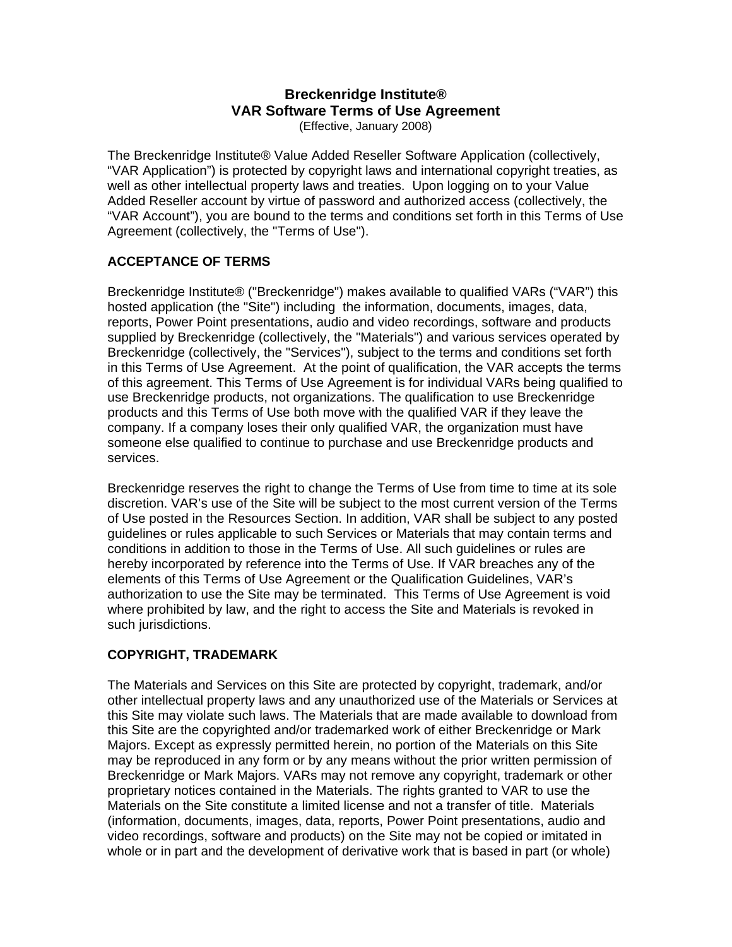# **Breckenridge Institute® VAR Software Terms of Use Agreement**

(Effective, January 2008)

The Breckenridge Institute® Value Added Reseller Software Application (collectively, "VAR Application") is protected by copyright laws and international copyright treaties, as well as other intellectual property laws and treaties. Upon logging on to your Value Added Reseller account by virtue of password and authorized access (collectively, the "VAR Account"), you are bound to the terms and conditions set forth in this Terms of Use Agreement (collectively, the "Terms of Use").

### **ACCEPTANCE OF TERMS**

Breckenridge Institute® ("Breckenridge") makes available to qualified VARs ("VAR") this hosted application (the "Site") including the information, documents, images, data, reports, Power Point presentations, audio and video recordings, software and products supplied by Breckenridge (collectively, the "Materials") and various services operated by Breckenridge (collectively, the "Services"), subject to the terms and conditions set forth in this Terms of Use Agreement. At the point of qualification, the VAR accepts the terms of this agreement. This Terms of Use Agreement is for individual VARs being qualified to use Breckenridge products, not organizations. The qualification to use Breckenridge products and this Terms of Use both move with the qualified VAR if they leave the company. If a company loses their only qualified VAR, the organization must have someone else qualified to continue to purchase and use Breckenridge products and services.

Breckenridge reserves the right to change the Terms of Use from time to time at its sole discretion. VAR's use of the Site will be subject to the most current version of the Terms of Use posted in the Resources Section. In addition, VAR shall be subject to any posted guidelines or rules applicable to such Services or Materials that may contain terms and conditions in addition to those in the Terms of Use. All such guidelines or rules are hereby incorporated by reference into the Terms of Use. If VAR breaches any of the elements of this Terms of Use Agreement or the Qualification Guidelines, VAR's authorization to use the Site may be terminated. This Terms of Use Agreement is void where prohibited by law, and the right to access the Site and Materials is revoked in such jurisdictions.

# **COPYRIGHT, TRADEMARK**

The Materials and Services on this Site are protected by copyright, trademark, and/or other intellectual property laws and any unauthorized use of the Materials or Services at this Site may violate such laws. The Materials that are made available to download from this Site are the copyrighted and/or trademarked work of either Breckenridge or Mark Majors. Except as expressly permitted herein, no portion of the Materials on this Site may be reproduced in any form or by any means without the prior written permission of Breckenridge or Mark Majors. VARs may not remove any copyright, trademark or other proprietary notices contained in the Materials. The rights granted to VAR to use the Materials on the Site constitute a limited license and not a transfer of title. Materials (information, documents, images, data, reports, Power Point presentations, audio and video recordings, software and products) on the Site may not be copied or imitated in whole or in part and the development of derivative work that is based in part (or whole)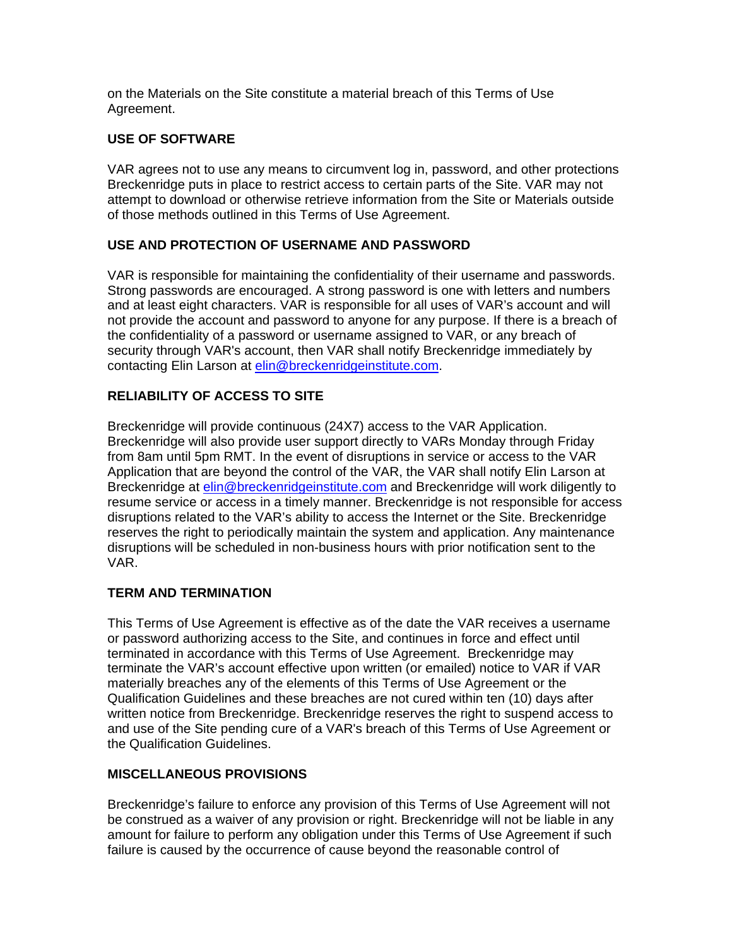on the Materials on the Site constitute a material breach of this Terms of Use Agreement.

### **USE OF SOFTWARE**

VAR agrees not to use any means to circumvent log in, password, and other protections Breckenridge puts in place to restrict access to certain parts of the Site. VAR may not attempt to download or otherwise retrieve information from the Site or Materials outside of those methods outlined in this Terms of Use Agreement.

# **USE AND PROTECTION OF USERNAME AND PASSWORD**

VAR is responsible for maintaining the confidentiality of their username and passwords. Strong passwords are encouraged. A strong password is one with letters and numbers and at least eight characters. VAR is responsible for all uses of VAR's account and will not provide the account and password to anyone for any purpose. If there is a breach of the confidentiality of a password or username assigned to VAR, or any breach of security through VAR's account, then VAR shall notify Breckenridge immediately by contacting Elin Larson at [elin@breckenridgeinstitute.com](mailto:elin@breckenridgeinstitute.com).

# **RELIABILITY OF ACCESS TO SITE**

Breckenridge will provide continuous (24X7) access to the VAR Application. Breckenridge will also provide user support directly to VARs Monday through Friday from 8am until 5pm RMT. In the event of disruptions in service or access to the VAR Application that are beyond the control of the VAR, the VAR shall notify Elin Larson at Breckenridge at [elin@breckenridgeinstitute.com](mailto:elin@breckenridgeinstitute.com) and Breckenridge will work diligently to resume service or access in a timely manner. Breckenridge is not responsible for access disruptions related to the VAR's ability to access the Internet or the Site. Breckenridge reserves the right to periodically maintain the system and application. Any maintenance disruptions will be scheduled in non-business hours with prior notification sent to the VAR.

### **TERM AND TERMINATION**

This Terms of Use Agreement is effective as of the date the VAR receives a username or password authorizing access to the Site, and continues in force and effect until terminated in accordance with this Terms of Use Agreement. Breckenridge may terminate the VAR's account effective upon written (or emailed) notice to VAR if VAR materially breaches any of the elements of this Terms of Use Agreement or the Qualification Guidelines and these breaches are not cured within ten (10) days after written notice from Breckenridge. Breckenridge reserves the right to suspend access to and use of the Site pending cure of a VAR's breach of this Terms of Use Agreement or the Qualification Guidelines.

### **MISCELLANEOUS PROVISIONS**

Breckenridge's failure to enforce any provision of this Terms of Use Agreement will not be construed as a waiver of any provision or right. Breckenridge will not be liable in any amount for failure to perform any obligation under this Terms of Use Agreement if such failure is caused by the occurrence of cause beyond the reasonable control of